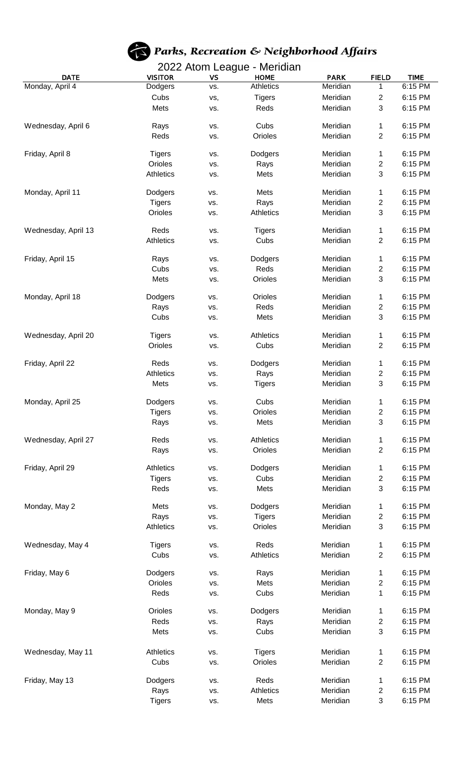

## Parks, Recreation & Neighborhood Affairs

## 2022 Atom League - Meridian

| <b>DATE</b>         | <b>VISITOR</b>   | <b>VS</b> | <b>HOME</b>      | <b>PARK</b> | <b>FIELD</b>            | <b>TIME</b> |
|---------------------|------------------|-----------|------------------|-------------|-------------------------|-------------|
| Monday, April 4     | Dodgers          | VS.       | Athletics        | Meridian    | 1                       | 6:15 PM     |
|                     | Cubs             | vs,       | <b>Tigers</b>    | Meridian    | $\overline{c}$          | 6:15 PM     |
|                     | Mets             | VS.       | Reds             | Meridian    | 3                       | 6:15 PM     |
|                     |                  |           |                  |             |                         |             |
| Wednesday, April 6  | Rays             | VS.       | Cubs             | Meridian    | 1                       | 6:15 PM     |
|                     | Reds             | VS.       | Orioles          | Meridian    | $\overline{2}$          | 6:15 PM     |
|                     |                  |           |                  |             |                         |             |
| Friday, April 8     | <b>Tigers</b>    | VS.       | Dodgers          | Meridian    | 1                       | 6:15 PM     |
|                     | Orioles          | VS.       | Rays             | Meridian    | 2                       | 6:15 PM     |
|                     | <b>Athletics</b> | VS.       | Mets             | Meridian    | 3                       | 6:15 PM     |
| Monday, April 11    | Dodgers          | VS.       | Mets             | Meridian    | 1                       | 6:15 PM     |
|                     | <b>Tigers</b>    | VS.       | Rays             | Meridian    | 2                       | 6:15 PM     |
|                     | Orioles          | VS.       | Athletics        | Meridian    | 3                       | 6:15 PM     |
|                     |                  |           |                  |             |                         |             |
| Wednesday, April 13 | Reds             | VS.       | <b>Tigers</b>    | Meridian    | 1                       | 6:15 PM     |
|                     | <b>Athletics</b> | VS.       | Cubs             | Meridian    | 2                       | 6:15 PM     |
|                     |                  |           |                  |             |                         |             |
| Friday, April 15    | Rays             | VS.       | Dodgers          | Meridian    | 1                       | 6:15 PM     |
|                     | Cubs             | VS.       | Reds             | Meridian    | $\overline{c}$          | 6:15 PM     |
|                     | Mets             | VS.       | Orioles          | Meridian    | $\mathbf{3}$            | 6:15 PM     |
| Monday, April 18    | Dodgers          | VS.       | Orioles          | Meridian    | 1                       | 6:15 PM     |
|                     | Rays             | VS.       | Reds             | Meridian    | $\overline{c}$          | 6:15 PM     |
|                     | Cubs             | VS.       | Mets             | Meridian    | 3                       | 6:15 PM     |
|                     |                  |           |                  |             |                         |             |
| Wednesday, April 20 | <b>Tigers</b>    | VS.       | Athletics        | Meridian    | 1                       | 6:15 PM     |
|                     | Orioles          | VS.       | Cubs             | Meridian    | $\overline{2}$          | 6:15 PM     |
|                     |                  |           |                  |             |                         |             |
| Friday, April 22    | Reds             | VS.       | Dodgers          | Meridian    | 1                       | 6:15 PM     |
|                     | Athletics        | VS.       | Rays             | Meridian    | $\overline{c}$          | 6:15 PM     |
|                     | Mets             | VS.       | <b>Tigers</b>    | Meridian    | 3                       | 6:15 PM     |
| Monday, April 25    | Dodgers          | VS.       | Cubs             | Meridian    | 1                       | 6:15 PM     |
|                     | <b>Tigers</b>    |           | Orioles          | Meridian    | $\mathbf{2}$            | 6:15 PM     |
|                     |                  | VS.       | Mets             | Meridian    | $\mathbf{3}$            | 6:15 PM     |
|                     | Rays             | VS.       |                  |             |                         |             |
| Wednesday, April 27 | Reds             | VS.       | <b>Athletics</b> | Meridian    | 1                       | 6:15 PM     |
|                     | Rays             | VS.       | Orioles          | Meridian    | $\overline{c}$          | 6:15 PM     |
|                     |                  |           |                  |             |                         |             |
| Friday, April 29    | <b>Athletics</b> | VS.       | Dodgers          | Meridian    | 1                       | 6:15 PM     |
|                     | <b>Tigers</b>    | VS.       | Cubs             | Meridian    | 2                       | 6:15 PM     |
|                     | Reds             | VS.       | Mets             | Meridian    | 3                       | 6:15 PM     |
| Monday, May 2       | Mets             | VS.       | Dodgers          | Meridian    | 1                       | 6:15 PM     |
|                     | Rays             | VS.       | <b>Tigers</b>    | Meridian    | 2                       | 6:15 PM     |
|                     | <b>Athletics</b> | VS.       | Orioles          | Meridian    | 3                       | 6:15 PM     |
|                     |                  |           |                  |             |                         |             |
| Wednesday, May 4    | <b>Tigers</b>    | VS.       | Reds             | Meridian    | 1                       | 6:15 PM     |
|                     | Cubs             | VS.       | Athletics        | Meridian    | $\overline{c}$          | 6:15 PM     |
|                     |                  |           |                  |             |                         |             |
| Friday, May 6       | Dodgers          | VS.       | Rays             | Meridian    | 1                       | 6:15 PM     |
|                     | Orioles          | VS.       | Mets             | Meridian    | $\overline{c}$          | 6:15 PM     |
|                     | Reds             | VS.       | Cubs             | Meridian    | 1                       | 6:15 PM     |
| Monday, May 9       | Orioles          | VS.       | Dodgers          | Meridian    | 1                       | 6:15 PM     |
|                     | Reds             | VS.       | Rays             | Meridian    | 2                       | 6:15 PM     |
|                     | Mets             | VS.       | Cubs             | Meridian    | $\mathbf{3}$            | 6:15 PM     |
|                     |                  |           |                  |             |                         |             |
| Wednesday, May 11   | <b>Athletics</b> | VS.       | <b>Tigers</b>    | Meridian    | 1                       | 6:15 PM     |
|                     | Cubs             | VS.       | Orioles          | Meridian    | 2                       | 6:15 PM     |
|                     |                  |           |                  |             |                         |             |
| Friday, May 13      | Dodgers          | VS.       | Reds             | Meridian    | 1                       | 6:15 PM     |
|                     | Rays             | VS.       | Athletics        | Meridian    | $\overline{\mathbf{c}}$ | 6:15 PM     |
|                     | <b>Tigers</b>    | VS.       | Mets             | Meridian    | $\mathbf{3}$            | 6:15 PM     |